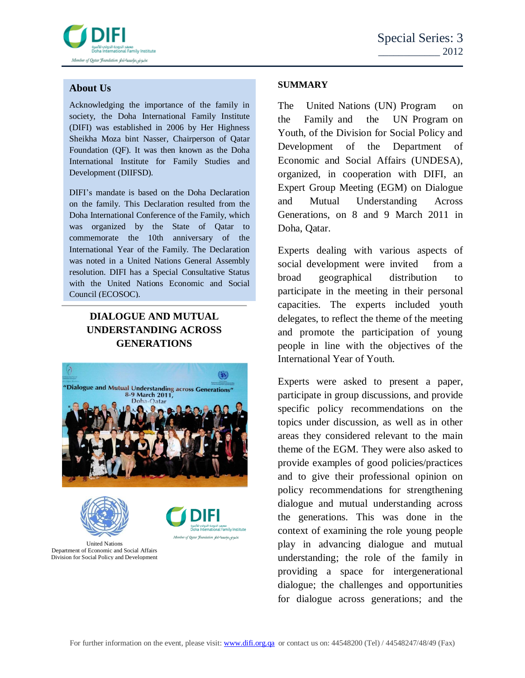

## **About Us**

Acknowledging the importance of the family in society, the Doha International Family Institute (DIFI) was established in 2006 by Her Highness Sheikha Moza bint Nasser, Chairperson of Qatar Foundation (QF). It was then known as the Doha International Institute for Family Studies and Development (DIIFSD).

DIFI's mandate is based on the Doha Declaration on the family. This Declaration resulted from the Doha International Conference of the Family, which was organized by the State of Qatar to commemorate the 10th anniversary of the International Year of the Family. The Declaration was noted in a United Nations General Assembly resolution. DIFI has a Special Consultative Status with the United Nations Economic and Social Council (ECOSOC).

# **DIALOGUE AND MUTUAL UNDERSTANDING ACROSS GENERATIONS**



United Nations Department of Economic and Social Affairs Division for Social Policy and Development

### **SUMMARY**

The United Nations (UN) Program on the Family and the UN Program on Youth, of the Division for Social Policy and Development of the Department of Economic and Social Affairs (UNDESA), organized, in cooperation with DIFI, an Expert Group Meeting (EGM) on Dialogue and Mutual Understanding Across Generations, on 8 and 9 March 2011 in Doha, Qatar.

Experts dealing with various aspects of social development were invited from a broad geographical distribution to participate in the meeting in their personal capacities. The experts included youth delegates, to reflect the theme of the meeting and promote the participation of young people in line with the objectives of the International Year of Youth.

Experts were asked to present a paper, participate in group discussions, and provide specific policy recommendations on the topics under discussion, as well as in other areas they considered relevant to the main theme of the EGM. They were also asked to provide examples of good policies/practices and to give their professional opinion on policy recommendations for strengthening dialogue and mutual understanding across the generations. This was done in the context of examining the role young people play in advancing dialogue and mutual understanding; the role of the family in providing a space for intergenerational dialogue; the challenges and opportunities for dialogue across generations; and the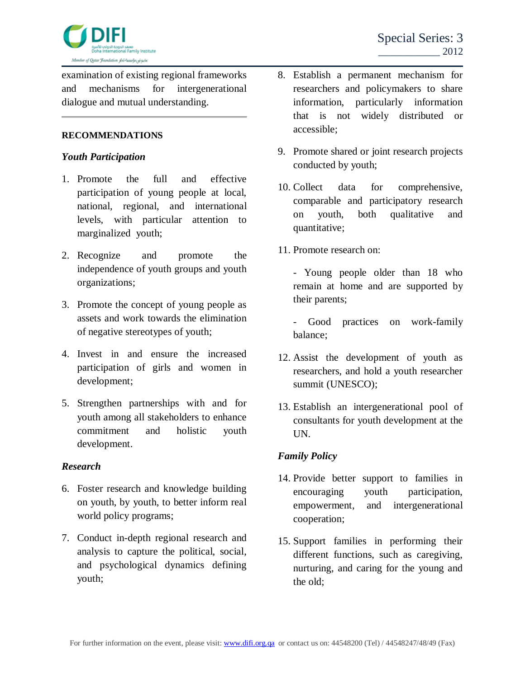

examination of existing regional frameworks and mechanisms for intergenerational dialogue and mutual understanding.

#### **RECOMMENDATIONS**

#### *Youth Participation*

- 1. Promote the full and effective participation of young people at local, national, regional, and international levels, with particular attention to marginalized youth;
- 2. Recognize and promote the independence of youth groups and youth organizations;
- 3. Promote the concept of young people as assets and work towards the elimination of negative stereotypes of youth;
- 4. Invest in and ensure the increased participation of girls and women in development;
- 5. Strengthen partnerships with and for youth among all stakeholders to enhance commitment and holistic youth development.

### *Research*

- 6. Foster research and knowledge building on youth, by youth, to better inform real world policy programs;
- 7. Conduct in-depth regional research and analysis to capture the political, social, and psychological dynamics defining youth;
- 8. Establish a permanent mechanism for researchers and policymakers to share information, particularly information that is not widely distributed or accessible;
- 9. Promote shared or joint research projects conducted by youth;
- 10. Collect data for comprehensive, comparable and participatory research on youth, both qualitative and quantitative;
- 11. Promote research on:

- Young people older than 18 who remain at home and are supported by their parents;

- Good practices on work-family balance;

- 12. Assist the development of youth as researchers, and hold a youth researcher summit (UNESCO);
- 13. Establish an intergenerational pool of consultants for youth development at the UN.

### *Family Policy*

- 14. Provide better support to families in encouraging youth participation, empowerment, and intergenerational cooperation;
- 15. Support families in performing their different functions, such as caregiving, nurturing, and caring for the young and the old;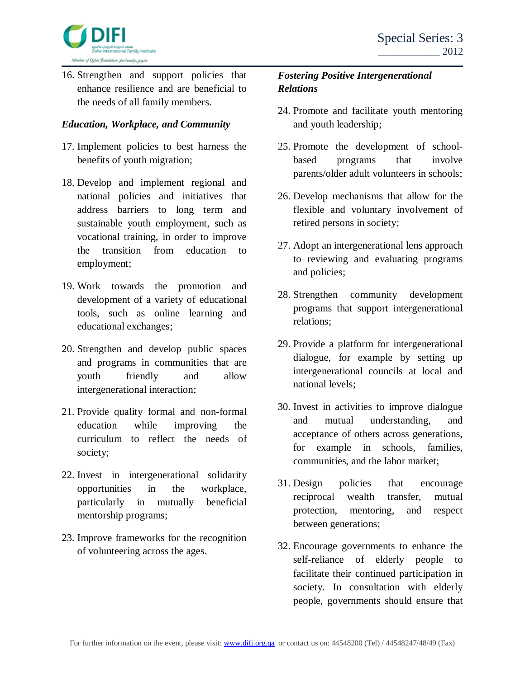

16. Strengthen and support policies that enhance resilience and are beneficial to the needs of all family members.

## *Education, Workplace, and Community*

- 17. Implement policies to best harness the benefits of youth migration;
- 18. Develop and implement regional and national policies and initiatives that address barriers to long term and sustainable youth employment, such as vocational training, in order to improve the transition from education to employment;
- 19. Work towards the promotion and development of a variety of educational tools, such as online learning and educational exchanges;
- 20. Strengthen and develop public spaces and programs in communities that are youth friendly and allow intergenerational interaction;
- 21. Provide quality formal and non-formal education while improving the curriculum to reflect the needs of society;
- 22. Invest in intergenerational solidarity opportunities in the workplace, particularly in mutually beneficial mentorship programs;
- 23. Improve frameworks for the recognition of volunteering across the ages.

# *Fostering Positive Intergenerational Relations*

- 24. Promote and facilitate youth mentoring and youth leadership;
- 25. Promote the development of schoolbased programs that involve parents/older adult volunteers in schools;
- 26. Develop mechanisms that allow for the flexible and voluntary involvement of retired persons in society;
- 27. Adopt an intergenerational lens approach to reviewing and evaluating programs and policies;
- 28. Strengthen community development programs that support intergenerational relations;
- 29. Provide a platform for intergenerational dialogue, for example by setting up intergenerational councils at local and national levels;
- 30. Invest in activities to improve dialogue and mutual understanding, and acceptance of others across generations, for example in schools, families, communities, and the labor market;
- 31. Design policies that encourage reciprocal wealth transfer, mutual protection, mentoring, and respect between generations;
- 32. Encourage governments to enhance the self-reliance of elderly people to facilitate their continued participation in society. In consultation with elderly people, governments should ensure that